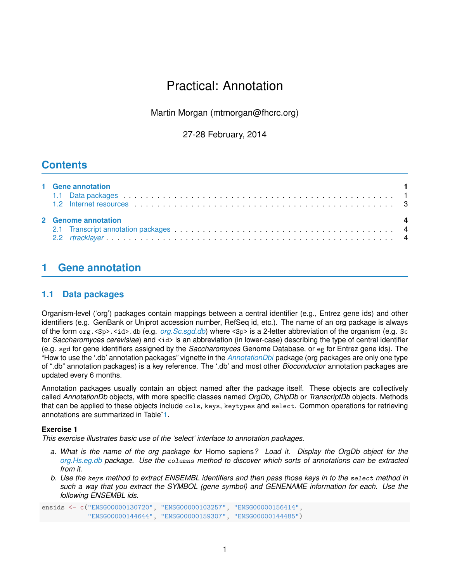# Practical: Annotation

Martin Morgan (mtmorgan@fhcrc.org)

27-28 February, 2014

## **Contents**

| 1 Gene annotation<br>1.2 Internet resources et al., when the contract of the contract of the contract of the contract of the contract of the contract of the contract of the contract of the contract of the contract of the contract of the contra |  |  |  |  |  |  |
|-----------------------------------------------------------------------------------------------------------------------------------------------------------------------------------------------------------------------------------------------------|--|--|--|--|--|--|
| $\overline{\phantom{a}}$                                                                                                                                                                                                                            |  |  |  |  |  |  |
| 2 Genome annotation                                                                                                                                                                                                                                 |  |  |  |  |  |  |

## <span id="page-0-0"></span>**1 Gene annotation**

### <span id="page-0-1"></span>**1.1 Data packages**

Organism-level ('org') packages contain mappings between a central identifier (e.g., Entrez gene ids) and other identifiers (e.g. GenBank or Uniprot accession number, RefSeq id, etc.). The name of an org package is always of the form org. <Sp>.<id>.db (e.g. *[org.Sc.sgd.db](http://bioconductor.org/packages/release/data/annotation/html/org.Sc.sgd.db.html)*) where <Sp> is a 2-letter abbreviation of the organism (e.g. Sc for *Saccharomyces cerevisiae*) and  $\langle id \rangle$  is an abbreviation (in lower-case) describing the type of central identifier (e.g. sgd for gene identifiers assigned by the *Saccharomyces* Genome Database, or eg for Entrez gene ids). The "How to use the '.db' annotation packages" vignette in the *[AnnotationDbi](http://bioconductor.org/packages/release/bioc/html/AnnotationDbi.html)* package (org packages are only one type of ".db" annotation packages) is a key reference. The '.db' and most other *Bioconductor* annotation packages are updated every 6 months.

Annotation packages usually contain an object named after the package itself. These objects are collectively called *AnnotationDb* objects, with more specific classes named *OrgDb*, *ChipDb* or *TranscriptDb* objects. Methods that can be applied to these objects include cols, keys, keytypes and select. Common operations for retrieving annotations are summarized in Table[˜1.](#page-1-1)

#### **Exercise 1**

*This exercise illustrates basic use of the 'select' interface to annotation packages.*

- *a. What is the name of the org package for* Homo sapiens*? Load it. Display the OrgDb object for the [org.Hs.eg.db](http://bioconductor.org/packages/release/bioc/html/org.Hs.eg.db.html) package. Use the* columns *method to discover which sorts of annotations can be extracted from it.*
- *b. Use the* keys *method to extract ENSEMBL identifiers and then pass those keys in to the* select *method in such a way that you extract the SYMBOL (gene symbol) and GENENAME information for each. Use the following ENSEMBL ids.*

ensids <- c("ENSG00000130720", "ENSG00000103257", "ENSG00000156414", "ENSG00000144644", "ENSG00000159307", "ENSG00000144485")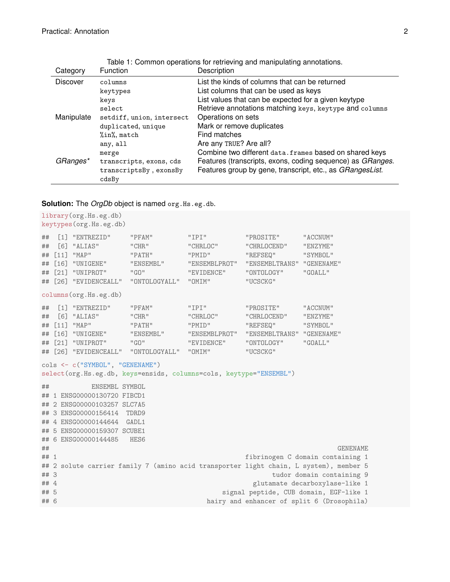| Category        | <b>Function</b>           | Description                                                |
|-----------------|---------------------------|------------------------------------------------------------|
| <b>Discover</b> | columns                   | List the kinds of columns that can be returned             |
|                 | keytypes                  | List columns that can be used as keys                      |
|                 | keys                      | List values that can be expected for a given keytype       |
|                 | select                    | Retrieve annotations matching keys, keytype and columns    |
| Manipulate      | setdiff, union, intersect | Operations on sets                                         |
|                 | duplicated, unique        | Mark or remove duplicates                                  |
|                 | %in%, match               | Find matches                                               |
|                 | any, all                  | Are any TRUE? Are all?                                     |
|                 | merge                     | Combine two different data. frames based on shared keys    |
| GRanges*        | transcripts, exons, cds   | Features (transcripts, exons, coding sequence) as GRanges. |
|                 | transcriptsBy, exonsBy    | Features group by gene, transcript, etc., as GRangesList.  |
|                 | cdsBv                     |                                                            |

<span id="page-1-1"></span>Table 1: Common operations for retrieving and manipulating annotations.

**Solution:** The *OrgDb* object is named org.Hs.eg.db.

```
library(org.Hs.eg.db)
keytypes(org.Hs.eg.db)
## [1] "ENTREZID" "PFAM" "IPI" "PROSITE" "ACCNUM"
## [6] "ALIAS" "CHR" "CHRLOC" "CHRLOCEND" "ENZYME"
## [11] "MAP" "PATH" "PMID" "REFSEQ" "SYMBOL"
## [16] "UNIGENE" "ENSEMBL" "ENSEMBLPROT" "ENSEMBLTRANS" "GENENAME"
## [21] "UNIPROT" "GO" "EVIDENCE" "ONTOLOGY" "GOALL"
## [26] "EVIDENCEALL" "ONTOLOGYALL" "OMIM" "UCSCKG"
columns(org.Hs.eg.db)
## [1] "ENTREZID" "PFAM" "IPI" "PROSITE" "ACCNUM"
## [6] "ALIAS" "CHR" "CHRLOC" "CHRLOCEND" "ENZYME"
## [11] "MAP" "PATH" "PMID" "REFSEQ" "SYMBOL"
## [16] "UNIGENE" "ENSEMBL" "ENSEMBLPROT" "ENSEMBLTRANS" "GENENAME"
## [21] "UNIPROT" "GO" "EVIDENCE" "ONTOLOGY" "GOALL"
## [26] "EVIDENCEALL" "ONTOLOGYALL" "OMIM" "UCSCKG"
cols <- c("SYMBOL", "GENENAME")
select(org.Hs.eg.db, keys=ensids, columns=cols, keytype="ENSEMBL")
## ENSEMBL SYMBOL
## 1 ENSG00000130720 FIBCD1
## 2 ENSG00000103257 SLC7A5
## 3 ENSG00000156414 TDRD9
## 4 ENSG00000144644 GADL1
## 5 ENSG00000159307 SCUBE1
## 6 ENSG00000144485 HES6
## GENENAME
## 1 fibrinogen C domain containing 1
## 2 solute carrier family 7 (amino acid transporter light chain, L system), member 5
## 3 tudor domain containing 9
## 4 glutamate decarboxylase-like 1
## 5 signal peptide, CUB domain, EGF-like 1
## 6 hairy and enhancer of split 6 (Drosophila)
```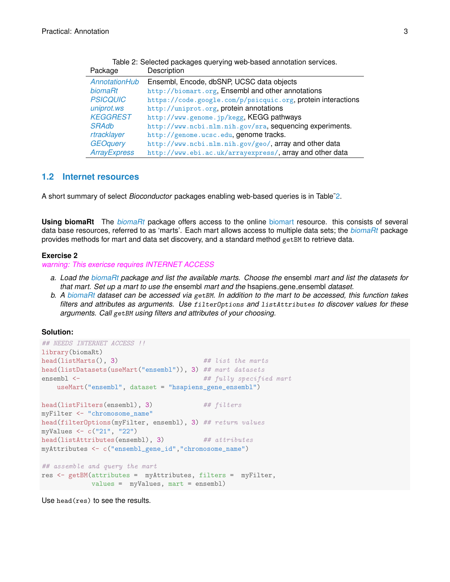| Package             | Description                                                  |
|---------------------|--------------------------------------------------------------|
| AnnotationHub       | Ensembl, Encode, dbSNP, UCSC data objects                    |
| biomaRt             | http://biomart.org, Ensembl and other annotations            |
| <b>PSICQUIC</b>     | https://code.google.com/p/psicquic.org, protein interactions |
| uniprot.ws          | http://uniprot.org, protein annotations                      |
| <b>KEGGREST</b>     | http://www.genome.jp/kegg, KEGG pathways                     |
| <b>SRAdb</b>        | http://www.ncbi.nlm.nih.gov/sra, sequencing experiments.     |
| rtracklayer         | http://genome.ucsc.edu, genome tracks.                       |
| <b>GEOquery</b>     | http://www.ncbi.nlm.nih.gov/geo/, array and other data       |
| <b>ArrayExpress</b> | http://www.ebi.ac.uk/arrayexpress/, array and other data     |

<span id="page-2-0"></span>

|                      | Table 2: Selected packages querying web-based annotation services. |
|----------------------|--------------------------------------------------------------------|
| ackage               | Description                                                        |
| <i>AnnotationHub</i> | Ensembl, Encode, dbSNP, UCSC data objects                          |

#### **1.2 Internet resources**

A short summary of select *Bioconductor* packages enabling web-based queries is in Table[˜2.](#page-2-0)

**Using biomaRt** The *[biomaRt](http://bioconductor.org/packages/release/bioc/html/biomaRt.html)* package offers access to the online [biomart](http://www.biomart.org) resource. this consists of several data base resources, referred to as 'marts'. Each mart allows access to multiple data sets; the *[biomaRt](http://bioconductor.org/packages/release/bioc/html/biomaRt.html)* package provides methods for mart and data set discovery, and a standard method getBM to retrieve data.

#### **Exercise 2**

*warning: This exericse requires INTERNET ACCESS*

- *a. Load the [biomaRt](http://bioconductor.org/packages/release/bioc/html/biomaRt.html) package and list the available marts. Choose the* ensembl *mart and list the datasets for that mart. Set up a mart to use the* ensembl *mart and the* hsapiens gene ensembl *dataset.*
- *b. A [biomaRt](http://bioconductor.org/packages/release/bioc/html/biomaRt.html) dataset can be accessed via* getBM*. In addition to the mart to be accessed, this function takes filters and attributes as arguments. Use* filterOptions *and* listAttributes *to discover values for these arguments. Call* getBM *using filters and attributes of your choosing.*

#### **Solution:**

```
## NEEDS INTERNET ACCESS !!
library(biomaRt)
head(listMarts(), 3) ## list the marts
head(listDatasets(useMart("ensembl")), 3) ## mart datasets
ensembl <- ## fully specified mart
   useMart("ensembl", dataset = "hsapiens_gene_ensembl")
head(listFilters(ensembl), 3) ## filters
myFilter <- "chromosome_name"
head(filterOptions(myFilter, ensembl), 3) ## return values
myValues <- c("21", "22")
head(listAttributes(ensembl), 3) ## attributes
myAttributes <- c("ensembl_gene_id","chromosome_name")
## assemble and query the mart
res <- getBM(attributes = myAttributes, filters = myFilter,
           values = myValues, mart = ensembl)
```
Use head(res) to see the results.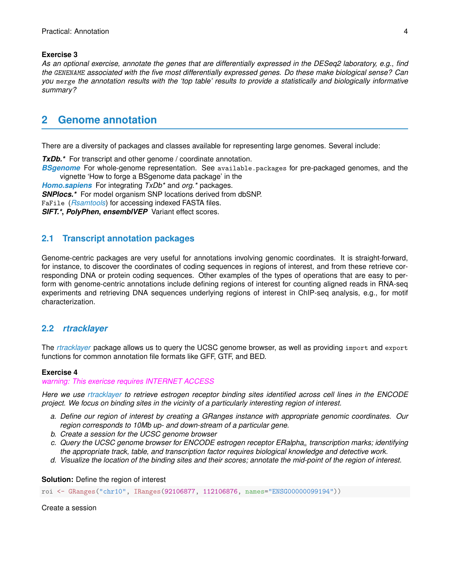#### **Exercise 3**

*As an optional exercise, annotate the genes that are differentially expressed in the DESeq2 laboratory, e.g., find the* GENENAME *associated with the five most differentially expressed genes. Do these make biological sense? Can you* merge *the annotation results with the 'top table' results to provide a statistically and biologically informative summary?*

## <span id="page-3-0"></span>**2 Genome annotation**

There are a diversity of packages and classes available for representing large genomes. Several include:

**TxDb.**\* For transcript and other genome / coordinate annotation.

*[BSgenome](http://bioconductor.org/packages/release/bioc/html/BSgenome.html)* For whole-genome representation. See available.packages for pre-packaged genomes, and the vignette 'How to forge a BSgenome data package' in the

*[Homo.sapiens](http://bioconductor.org/packages/release/data/annotation/html/Homo.sapiens.html)* For integrating *TxDb\** and *org.\** packages.

*SNPlocs.\** For model organism SNP locations derived from dbSNP.

FaFile (*[Rsamtools](http://bioconductor.org/packages/release/bioc/html/Rsamtools.html)*) for accessing indexed FASTA files.

*SIFT.\****,** *PolyPhen***,** *ensemblVEP* Variant effect scores.

### <span id="page-3-1"></span>**2.1 Transcript annotation packages**

Genome-centric packages are very useful for annotations involving genomic coordinates. It is straight-forward, for instance, to discover the coordinates of coding sequences in regions of interest, and from these retrieve corresponding DNA or protein coding sequences. Other examples of the types of operations that are easy to perform with genome-centric annotations include defining regions of interest for counting aligned reads in RNA-seq experiments and retrieving DNA sequences underlying regions of interest in ChIP-seq analysis, e.g., for motif characterization.

#### <span id="page-3-2"></span>**2.2** *rtracklayer*

The *[rtracklayer](http://bioconductor.org/packages/release/bioc/html/rtracklayer.html)* package allows us to query the UCSC genome browser, as well as providing import and export functions for common annotation file formats like GFF, GTF, and BED.

#### **Exercise 4**

*warning: This exericse requires INTERNET ACCESS*

*Here we use [rtracklayer](http://bioconductor.org/packages/release/bioc/html/rtracklayer.html) to retrieve estrogen receptor binding sites identified across cell lines in the ENCODE project. We focus on binding sites in the vicinity of a particularly interesting region of interest.*

- *a. Define our region of interest by creating a GRanges instance with appropriate genomic coordinates. Our region corresponds to 10Mb up- and down-stream of a particular gene.*
- *b. Create a session for the UCSC genome browser*
- *c. Query the UCSC genome browser for ENCODE estrogen receptor ERalpha*<sup>a</sup> *transcription marks; identifying the appropriate track, table, and transcription factor requires biological knowledge and detective work.*
- *d. Visualize the location of the binding sites and their scores; annotate the mid-point of the region of interest.*

**Solution:** Define the region of interest

roi <- GRanges("chr10", IRanges(92106877, 112106876, names="ENSG00000099194"))

Create a session